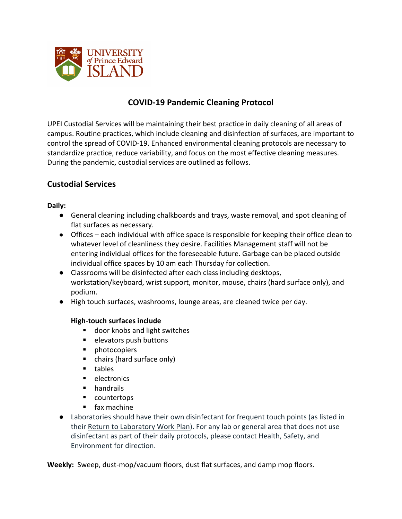

# **COVID-19 Pandemic Cleaning Protocol**

UPEI Custodial Services will be maintaining their best practice in daily cleaning of all areas of campus. Routine practices, which include cleaning and disinfection of surfaces, are important to control the spread of COVID-19. Enhanced environmental cleaning protocols are necessary to standardize practice, reduce variability, and focus on the most effective cleaning measures. During the pandemic, custodial services are outlined as follows.

### **Custodial Services**

#### **Daily:**

- General cleaning including chalkboards and trays, waste removal, and spot cleaning of flat surfaces as necessary.
- Offices each individual with office space is responsible for keeping their office clean to whatever level of cleanliness they desire. Facilities Management staff will not be entering individual offices for the foreseeable future. Garbage can be placed outside individual office spaces by 10 am each Thursday for collection.
- Classrooms will be disinfected after each class including desktops, workstation/keyboard, wrist support, monitor, mouse, chairs (hard surface only), and podium.
- High touch surfaces, washrooms, lounge areas, are cleaned twice per day.

#### **High-touch surfaces include**

- door knobs and light switches
- elevators push buttons
- photocopiers
- chairs (hard surface only)
- tables
- electronics
- handrails
- countertops
- § fax machine
- Laboratories should have their own disinfectant for frequent touch points (as listed in their Return to Laboratory Work Plan). For any lab or general area that does not use disinfectant as part of their daily protocols, please contact Health, Safety, and Environment for direction.

**Weekly:** Sweep, dust-mop/vacuum floors, dust flat surfaces, and damp mop floors.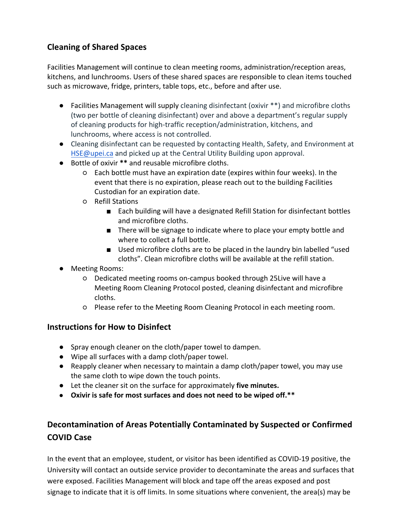# **Cleaning of Shared Spaces**

Facilities Management will continue to clean meeting rooms, administration/reception areas, kitchens, and lunchrooms. Users of these shared spaces are responsible to clean items touched such as microwave, fridge, printers, table tops, etc., before and after use.

- Facilities Management will supply cleaning disinfectant (oxivir \*\*) and microfibre cloths (two per bottle of cleaning disinfectant) over and above a department's regular supply of cleaning products for high-traffic reception/administration, kitchens, and lunchrooms, where access is not controlled.
- Cleaning disinfectant can be requested by contacting Health, Safety, and Environment at HSE@upei.ca and picked up at the Central Utility Building upon approval.
- Bottle of oxivir **\*\*** and reusable microfibre cloths.
	- Each bottle must have an expiration date (expires within four weeks). In the event that there is no expiration, please reach out to the building Facilities Custodian for an expiration date.
	- Refill Stations
		- Each building will have a designated Refill Station for disinfectant bottles and microfibre cloths.
		- There will be signage to indicate where to place your empty bottle and where to collect a full bottle.
		- Used microfibre cloths are to be placed in the laundry bin labelled "used cloths". Clean microfibre cloths will be available at the refill station.
- Meeting Rooms:
	- Dedicated meeting rooms on-campus booked through 25Live will have a Meeting Room Cleaning Protocol posted, cleaning disinfectant and microfibre cloths.
	- Please refer to the Meeting Room Cleaning Protocol in each meeting room.

### **Instructions for How to Disinfect**

- Spray enough cleaner on the cloth/paper towel to dampen.
- Wipe all surfaces with a damp cloth/paper towel.
- Reapply cleaner when necessary to maintain a damp cloth/paper towel, you may use the same cloth to wipe down the touch points.
- Let the cleaner sit on the surface for approximately **five minutes.**
- **Oxivir is safe for most surfaces and does not need to be wiped off.\*\***

# **Decontamination of Areas Potentially Contaminated by Suspected or Confirmed COVID Case**

In the event that an employee, student, or visitor has been identified as COVID-19 positive, the University will contact an outside service provider to decontaminate the areas and surfaces that were exposed. Facilities Management will block and tape off the areas exposed and post signage to indicate that it is off limits. In some situations where convenient, the area(s) may be